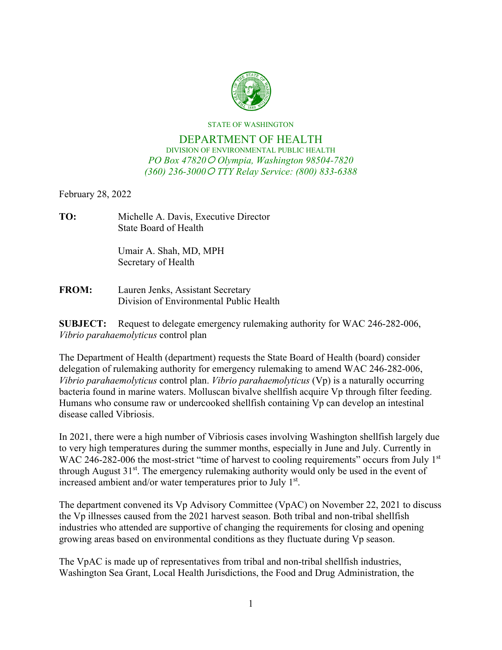

STATE OF WASHINGTON

## DEPARTMENT OF HEALTH DIVISION OF ENVIRONMENTAL PUBLIC HEALTH *PO Box 47820 Olympia, Washington 98504-7820 (360) 236-3000 TTY Relay Service: (800) 833-6388*

February 28, 2022

| TO: | Michelle A. Davis, Executive Director |
|-----|---------------------------------------|
|     | State Board of Health                 |

Umair A. Shah, MD, MPH Secretary of Health

| <b>FROM:</b> | Lauren Jenks, Assistant Secretary       |
|--------------|-----------------------------------------|
|              | Division of Environmental Public Health |

**SUBJECT:** Request to delegate emergency rulemaking authority for WAC 246-282-006, *Vibrio parahaemolyticus* control plan

The Department of Health (department) requests the State Board of Health (board) consider delegation of rulemaking authority for emergency rulemaking to amend WAC 246-282-006, *Vibrio parahaemolyticus* control plan. *Vibrio parahaemolyticus* (Vp) is a naturally occurring bacteria found in marine waters. Molluscan bivalve shellfish acquire Vp through filter feeding. Humans who consume raw or undercooked shellfish containing Vp can develop an intestinal disease called Vibriosis.

In 2021, there were a high number of Vibriosis cases involving Washington shellfish largely due to very high temperatures during the summer months, especially in June and July. Currently in WAC 246-282-006 the most-strict "time of harvest to cooling requirements" occurs from July 1<sup>st</sup> through August  $31^{st}$ . The emergency rulemaking authority would only be used in the event of increased ambient and/or water temperatures prior to July 1<sup>st</sup>.

The department convened its Vp Advisory Committee (VpAC) on November 22, 2021 to discuss the Vp illnesses caused from the 2021 harvest season. Both tribal and non-tribal shellfish industries who attended are supportive of changing the requirements for closing and opening growing areas based on environmental conditions as they fluctuate during Vp season.

The VpAC is made up of representatives from tribal and non-tribal shellfish industries, Washington Sea Grant, Local Health Jurisdictions, the Food and Drug Administration, the